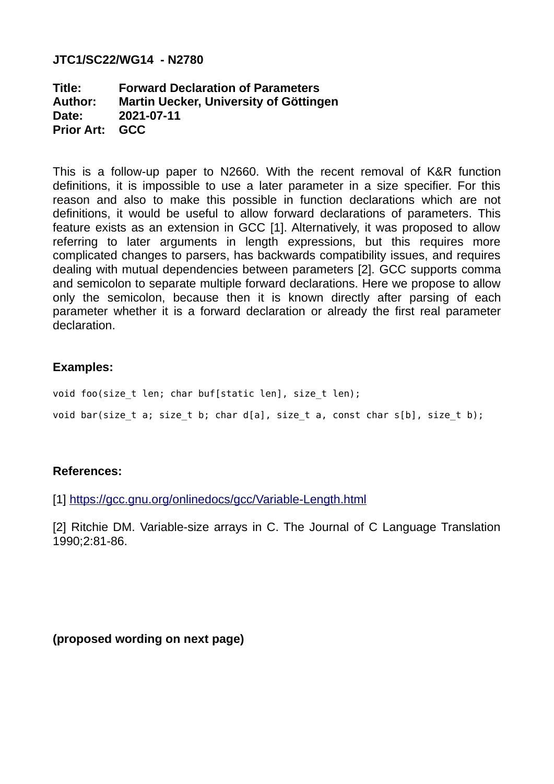#### **JTC1/SC22/WG14 - N2780**

**Title: Forward Declaration of Parameters Author: Martin Uecker, University of Göttingen Date: 2021-07-11 Prior Art: GCC**

This is a follow-up paper to N2660. With the recent removal of K&R function definitions, it is impossible to use a later parameter in a size specifier. For this reason and also to make this possible in function declarations which are not definitions, it would be useful to allow forward declarations of parameters. This feature exists as an extension in GCC [1]. Alternatively, it was proposed to allow referring to later arguments in length expressions, but this requires more complicated changes to parsers, has backwards compatibility issues, and requires dealing with mutual dependencies between parameters [2]. GCC supports comma and semicolon to separate multiple forward declarations. Here we propose to allow only the semicolon, because then it is known directly after parsing of each parameter whether it is a forward declaration or already the first real parameter declaration.

### **Examples:**

void foo(size t len; char buf[static len], size t len); void bar(size t a; size t b; char d[a], size t a, const char s[b], size t b);

### **References:**

[1] <https://gcc.gnu.org/onlinedocs/gcc/Variable-Length.html>

[2] Ritchie DM. Variable-size arrays in C. The Journal of C Language Translation 1990;2:81-86.

**(proposed wording on next page)**